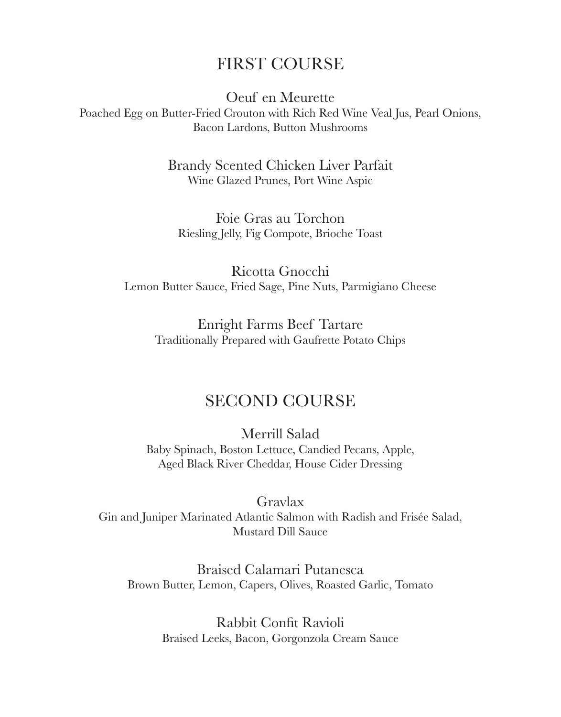#### FIRST COURSE

Oeuf en Meurette Poached Egg on Butter-Fried Crouton with Rich Red Wine Veal Jus, Pearl Onions, Bacon Lardons, Button Mushrooms

> Brandy Scented Chicken Liver Parfait Wine Glazed Prunes, Port Wine Aspic

Foie Gras au Torchon Riesling Jelly, Fig Compote, Brioche Toast

Ricotta Gnocchi Lemon Butter Sauce, Fried Sage, Pine Nuts, Parmigiano Cheese

Enright Farms Beef Tartare Traditionally Prepared with Gaufrette Potato Chips

#### SECOND COURSE

Merrill Salad Baby Spinach, Boston Lettuce, Candied Pecans, Apple, Aged Black River Cheddar, House Cider Dressing

Gravlax Gin and Juniper Marinated Atlantic Salmon with Radish and Frisée Salad, Mustard Dill Sauce

Braised Calamari Putanesca Brown Butter, Lemon, Capers, Olives, Roasted Garlic, Tomato

> Rabbit Confit Ravioli Braised Leeks, Bacon, Gorgonzola Cream Sauce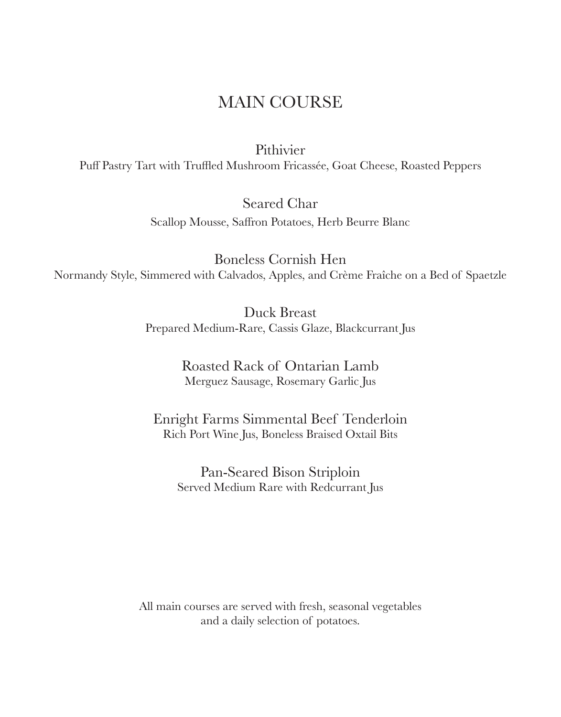### MAIN COURSE

Pithivier

Puff Pastry Tart with Truffled Mushroom Fricassée, Goat Cheese, Roasted Peppers

Seared Char

Scallop Mousse, Saffron Potatoes, Herb Beurre Blanc

Boneless Cornish Hen Normandy Style, Simmered with Calvados, Apples, and Crème Fraîche on a Bed of Spaetzle

> Duck Breast Prepared Medium-Rare, Cassis Glaze, Blackcurrant Jus

> > Roasted Rack of Ontarian Lamb Merguez Sausage, Rosemary Garlic Jus

Enright Farms Simmental Beef Tenderloin Rich Port Wine Jus, Boneless Braised Oxtail Bits

Pan-Seared Bison Striploin Served Medium Rare with Redcurrant Jus

All main courses are served with fresh, seasonal vegetables and a daily selection of potatoes.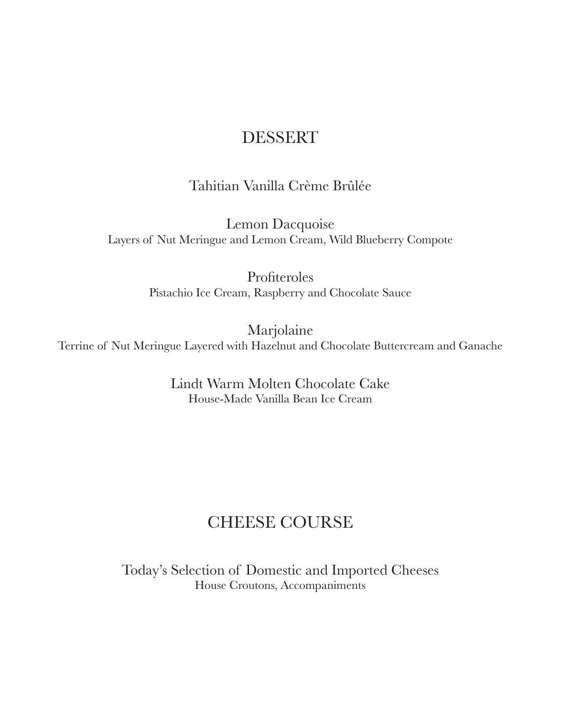#### DESSERT

Tahitian Vanilla Crème Brûlée

Lemon Dacquoise Layers of Nut Meringue and Lemon Cream, Wild Blueberry Compote

> Profiteroles Pistachio Ice Cream, Raspberry and Chocolate Sauce

Marjolaine Terrine of Nut Meringue Layered with Hazelnut and Chocolate Buttercream and Ganache

> Lindt Warm Molten Chocolate Cake House-Made Vanilla Bean Ice Cream

## CHEESE COURSE

Today's Selection of Domestic and Imported Cheeses House Croutons, Accompaniments